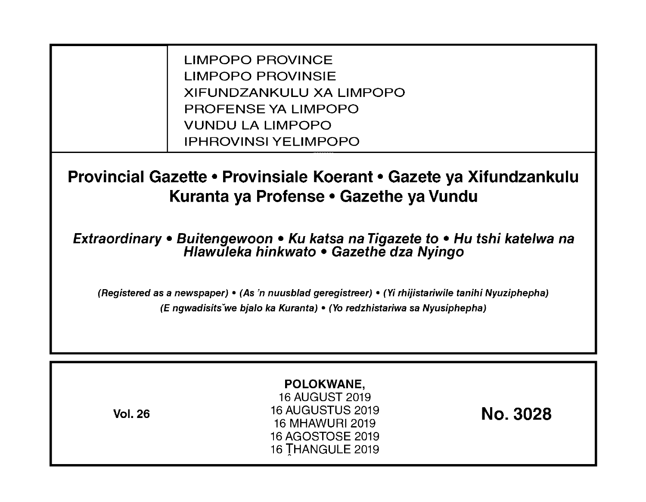LIMPOPO PROVINCE LIMPOPO PROVINSIE XIFUNDZANKULU XA LIMPOPO PROFENSE YA LIMPOPO VUNDU LA LIMPOPO IPHROVINSI YELIMPOPO

**Provincial Gazette • Provinsiale Koerant • Gazete ya Xifundzankulu Kuranta ya Profense • Gazethe ya Vundu** 

**Extraordinary • Buitengewoon • Ku katsa na Tigazete to • Hu tshi katelwa na Hlawuleka hinkwato • Gazethe dza Nyingo** 

(Registered as a newspaper) • (As 'n nuusblad geregistreer) • (Yi rhijistariwile tanihi Nyuziphepha) (E ngwadisitsVwe bjalo ka Kuranta) • (Yo redzhistariwa sa Nyusiphepha)

| <b>Vol. 26</b> | POLOKWANE,<br>16 AUGUST 2019<br><b>16 AUGUSTUS 2019</b><br>16 MHAWURI 2019<br>16 AGOSTOSE 2019<br>16 THANGULE 2019 | <b>No. 3028</b> |
|----------------|--------------------------------------------------------------------------------------------------------------------|-----------------|
|----------------|--------------------------------------------------------------------------------------------------------------------|-----------------|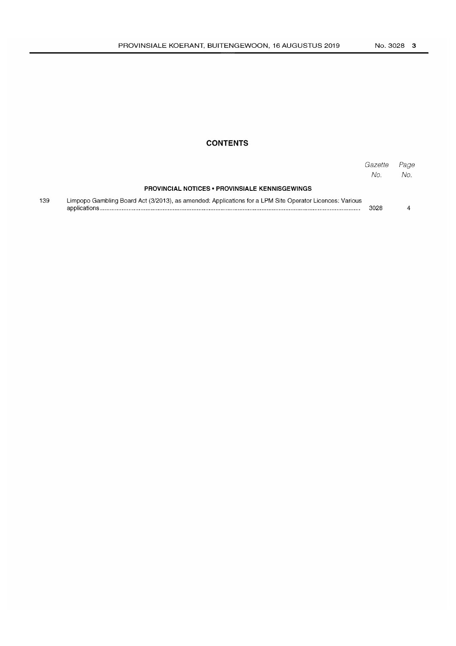# **CONTENTS**

|     |                                                                                                         | Gazette<br>No. | Page<br>No. |
|-----|---------------------------------------------------------------------------------------------------------|----------------|-------------|
|     | <b>PROVINCIAL NOTICES • PROVINSIALE KENNISGEWINGS</b>                                                   |                |             |
| 139 | Limpopo Gambling Board Act (3/2013), as amended: Applications for a LPM Site Operator Licences: Various | 3028           |             |